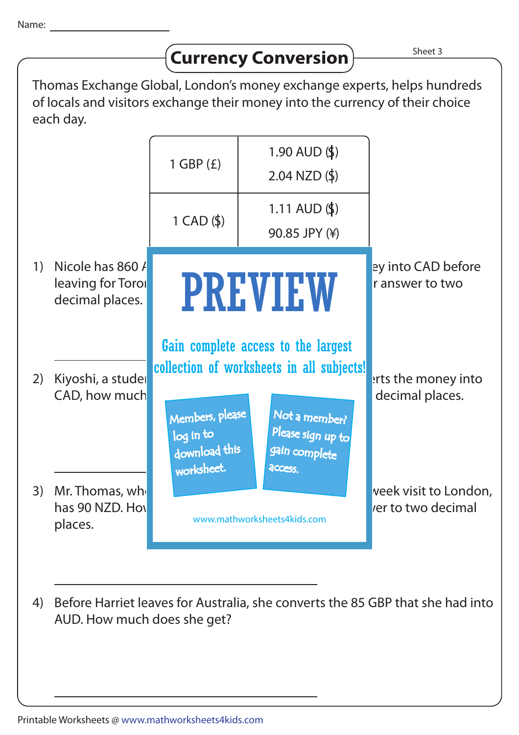